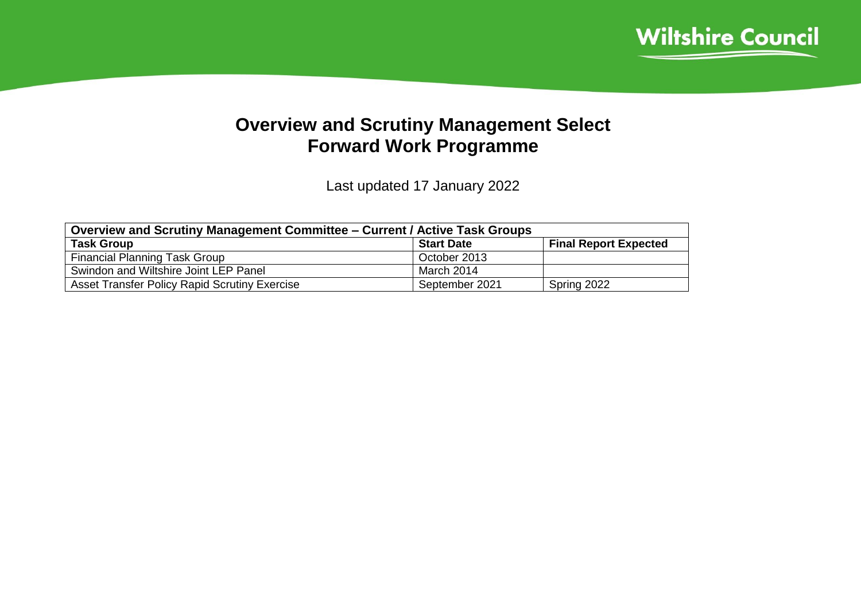

## **Overview and Scrutiny Management Select Forward Work Programme**

Last updated 17 January 2022

| <b>Overview and Scrutiny Management Committee – Current / Active Task Groups</b> |                   |                              |  |  |  |
|----------------------------------------------------------------------------------|-------------------|------------------------------|--|--|--|
| <b>Task Group</b>                                                                | <b>Start Date</b> | <b>Final Report Expected</b> |  |  |  |
| <b>Financial Planning Task Group</b>                                             | October 2013      |                              |  |  |  |
| Swindon and Wiltshire Joint LEP Panel                                            | March 2014        |                              |  |  |  |
| Asset Transfer Policy Rapid Scrutiny Exercise                                    | September 2021    | Spring 2022                  |  |  |  |